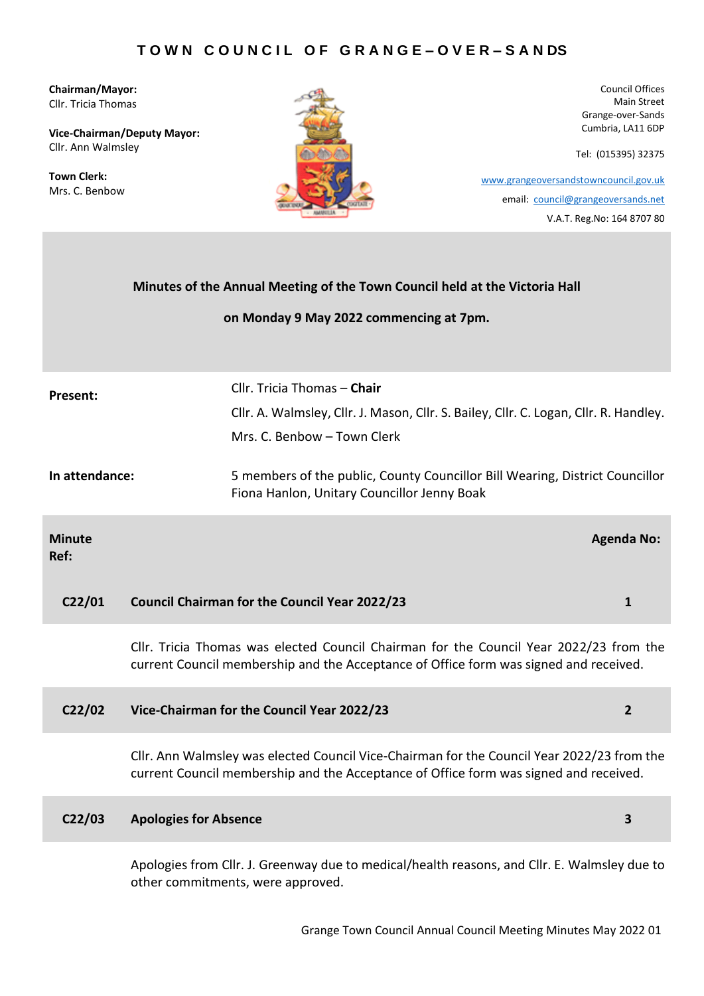**Chairman/Mayor:** Cllr. Tricia Thomas

**Vice-Chairman/Deputy Mayor:** Cllr. Ann Walmsley

**Town Clerk:** Mrs. C. Benbow



Council Offices Main Street Grange-over-Sands Cumbria, LA11 6DP

Tel: (015395) 32375

 [www.grangeoversandstowncouncil.gov.uk](http://www.grangeoversandstowncouncil.gov.uk/) email: [council@grangeoversands.net](mailto:council@grangeoversands.net) V.A.T. Reg.No: 164 8707 80

|                       | Minutes of the Annual Meeting of the Town Council held at the Victoria Hall                                                                                                         |                   |  |  |  |
|-----------------------|-------------------------------------------------------------------------------------------------------------------------------------------------------------------------------------|-------------------|--|--|--|
|                       | on Monday 9 May 2022 commencing at 7pm.                                                                                                                                             |                   |  |  |  |
|                       |                                                                                                                                                                                     |                   |  |  |  |
| Present:              | Cllr. Tricia Thomas - Chair                                                                                                                                                         |                   |  |  |  |
|                       | Cllr. A. Walmsley, Cllr. J. Mason, Cllr. S. Bailey, Cllr. C. Logan, Cllr. R. Handley.                                                                                               |                   |  |  |  |
|                       | Mrs. C. Benbow - Town Clerk                                                                                                                                                         |                   |  |  |  |
| In attendance:        | 5 members of the public, County Councillor Bill Wearing, District Councillor<br>Fiona Hanlon, Unitary Councillor Jenny Boak                                                         |                   |  |  |  |
| <b>Minute</b><br>Ref: |                                                                                                                                                                                     | <b>Agenda No:</b> |  |  |  |
| C <sub>22</sub> /01   | <b>Council Chairman for the Council Year 2022/23</b>                                                                                                                                | 1                 |  |  |  |
|                       | Cllr. Tricia Thomas was elected Council Chairman for the Council Year 2022/23 from the<br>current Council membership and the Acceptance of Office form was signed and received.     |                   |  |  |  |
| C <sub>22</sub> /02   | Vice-Chairman for the Council Year 2022/23                                                                                                                                          | $\mathbf{2}$      |  |  |  |
|                       | Cllr. Ann Walmsley was elected Council Vice-Chairman for the Council Year 2022/23 from the<br>current Council membership and the Acceptance of Office form was signed and received. |                   |  |  |  |
| C <sub>2</sub> / 03   | <b>Apologies for Absence</b>                                                                                                                                                        | 3                 |  |  |  |
|                       | Apologies from Cllr. J. Greenway due to medical/health reasons, and Cllr. E. Walmsley due to<br>other commitments, were approved.                                                   |                   |  |  |  |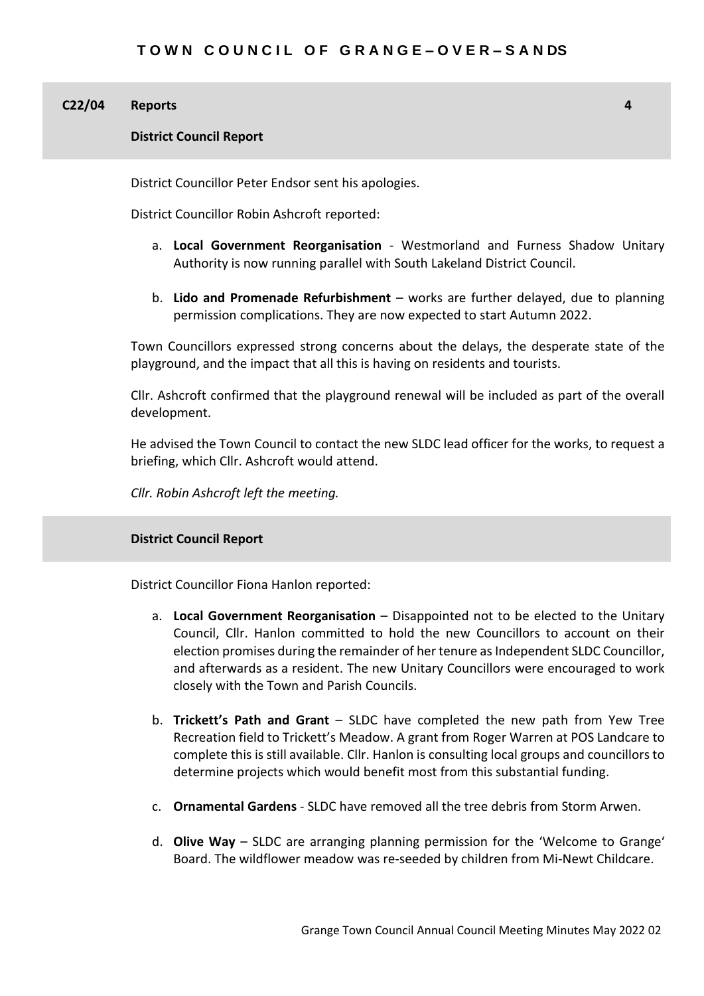#### **C22/04 Reports**

**District Council Report**

District Councillor Peter Endsor sent his apologies.

District Councillor Robin Ashcroft reported:

a. **Local Government Reorganisation** - Westmorland and Furness Shadow Unitary Authority is now running parallel with South Lakeland District Council.

**4**

b. **Lido and Promenade Refurbishment** – works are further delayed, due to planning permission complications. They are now expected to start Autumn 2022.

Town Councillors expressed strong concerns about the delays, the desperate state of the playground, and the impact that all this is having on residents and tourists.

Cllr. Ashcroft confirmed that the playground renewal will be included as part of the overall development.

He advised the Town Council to contact the new SLDC lead officer for the works, to request a briefing, which Cllr. Ashcroft would attend.

*Cllr. Robin Ashcroft left the meeting.*

# **District Council Report**

District Councillor Fiona Hanlon reported:

- a. **Local Government Reorganisation**  Disappointed not to be elected to the Unitary Council, Cllr. Hanlon committed to hold the new Councillors to account on their election promises during the remainder of her tenure as Independent SLDC Councillor, and afterwards as a resident. The new Unitary Councillors were encouraged to work closely with the Town and Parish Councils.
- b. **Trickett's Path and Grant** SLDC have completed the new path from Yew Tree Recreation field to Trickett's Meadow. A grant from Roger Warren at POS Landcare to complete this is still available. Cllr. Hanlon is consulting local groups and councillors to determine projects which would benefit most from this substantial funding.
- c. **Ornamental Gardens** SLDC have removed all the tree debris from Storm Arwen.
- d. **Olive Way** SLDC are arranging planning permission for the 'Welcome to Grange' Board. The wildflower meadow was re-seeded by children from Mi-Newt Childcare.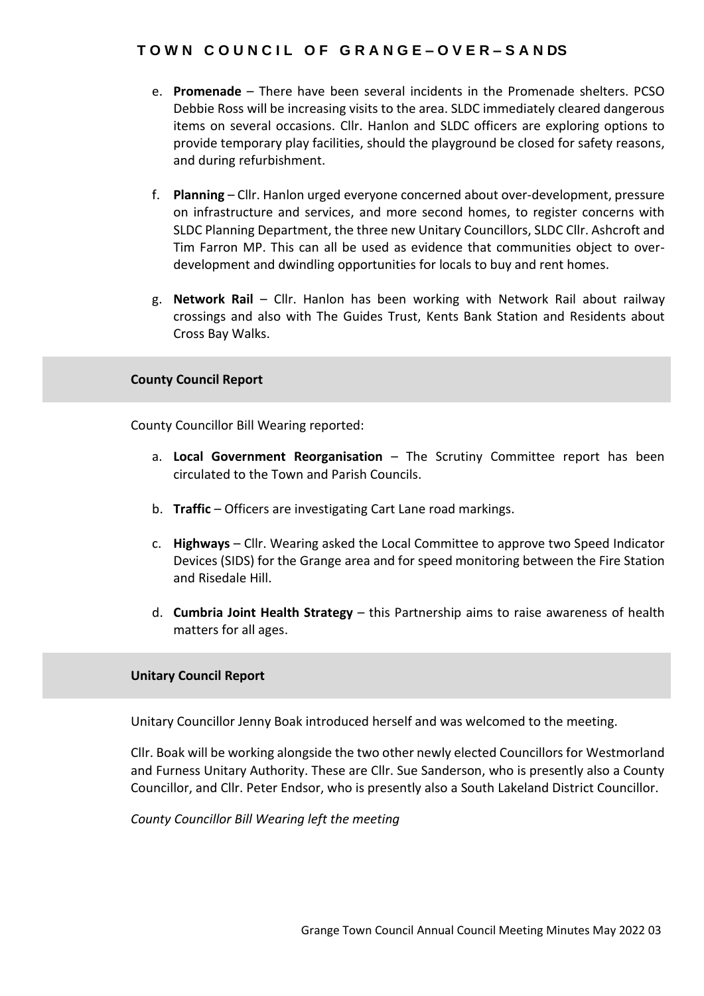- e. **Promenade** There have been several incidents in the Promenade shelters. PCSO Debbie Ross will be increasing visits to the area. SLDC immediately cleared dangerous items on several occasions. Cllr. Hanlon and SLDC officers are exploring options to provide temporary play facilities, should the playground be closed for safety reasons, and during refurbishment.
- f. **Planning** Cllr. Hanlon urged everyone concerned about over-development, pressure on infrastructure and services, and more second homes, to register concerns with SLDC Planning Department, the three new Unitary Councillors, SLDC Cllr. Ashcroft and Tim Farron MP. This can all be used as evidence that communities object to overdevelopment and dwindling opportunities for locals to buy and rent homes.
- g. **Network Rail** Cllr. Hanlon has been working with Network Rail about railway crossings and also with The Guides Trust, Kents Bank Station and Residents about Cross Bay Walks.

# **County Council Report**

County Councillor Bill Wearing reported:

- a. **Local Government Reorganisation** The Scrutiny Committee report has been circulated to the Town and Parish Councils.
- b. **Traffic**  Officers are investigating Cart Lane road markings.
- c. **Highways** Cllr. Wearing asked the Local Committee to approve two Speed Indicator Devices (SIDS) for the Grange area and for speed monitoring between the Fire Station and Risedale Hill.
- d. **Cumbria Joint Health Strategy** this Partnership aims to raise awareness of health matters for all ages.

# **Unitary Council Report**

Unitary Councillor Jenny Boak introduced herself and was welcomed to the meeting.

Cllr. Boak will be working alongside the two other newly elected Councillors for Westmorland and Furness Unitary Authority. These are Cllr. Sue Sanderson, who is presently also a County Councillor, and Cllr. Peter Endsor, who is presently also a South Lakeland District Councillor.

*County Councillor Bill Wearing left the meeting*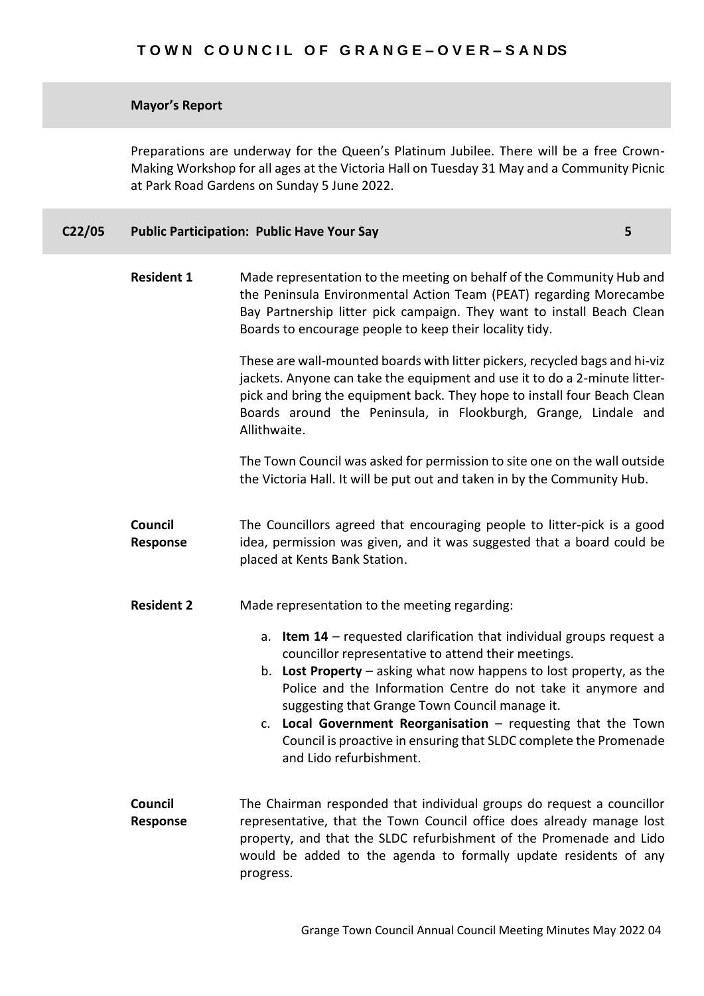# **Mayor's Report**

Preparations are underway for the Queen's Platinum Jubilee. There will be a free Crown-Making Workshop for all ages at the Victoria Hall on Tuesday 31 May and a Community Picnic at Park Road Gardens on Sunday 5 June 2022.

| C22/05 | <b>Public Participation: Public Have Your Say</b> |  |
|--------|---------------------------------------------------|--|
|--------|---------------------------------------------------|--|

| <b>Resident 1</b>   | Made representation to the meeting on behalf of the Community Hub and<br>the Peninsula Environmental Action Team (PEAT) regarding Morecambe<br>Bay Partnership litter pick campaign. They want to install Beach Clean<br>Boards to encourage people to keep their locality tidy.                                                                                                                                                                                                                   |  |  |  |  |  |  |
|---------------------|----------------------------------------------------------------------------------------------------------------------------------------------------------------------------------------------------------------------------------------------------------------------------------------------------------------------------------------------------------------------------------------------------------------------------------------------------------------------------------------------------|--|--|--|--|--|--|
|                     | These are wall-mounted boards with litter pickers, recycled bags and hi-viz<br>jackets. Anyone can take the equipment and use it to do a 2-minute litter-<br>pick and bring the equipment back. They hope to install four Beach Clean<br>Boards around the Peninsula, in Flookburgh, Grange, Lindale and<br>Allithwaite.                                                                                                                                                                           |  |  |  |  |  |  |
|                     | The Town Council was asked for permission to site one on the wall outside<br>the Victoria Hall. It will be put out and taken in by the Community Hub.                                                                                                                                                                                                                                                                                                                                              |  |  |  |  |  |  |
| Council<br>Response | The Councillors agreed that encouraging people to litter-pick is a good<br>idea, permission was given, and it was suggested that a board could be<br>placed at Kents Bank Station.                                                                                                                                                                                                                                                                                                                 |  |  |  |  |  |  |
| <b>Resident 2</b>   | Made representation to the meeting regarding:                                                                                                                                                                                                                                                                                                                                                                                                                                                      |  |  |  |  |  |  |
|                     | <b>Item 14</b> – requested clarification that individual groups request a<br>a.<br>councillor representative to attend their meetings.<br>b. Lost Property $-$ asking what now happens to lost property, as the<br>Police and the Information Centre do not take it anymore and<br>suggesting that Grange Town Council manage it.<br>c. Local Government Reorganisation - requesting that the Town<br>Council is proactive in ensuring that SLDC complete the Promenade<br>and Lido refurbishment. |  |  |  |  |  |  |
| Council<br>Response | The Chairman responded that individual groups do request a councillor<br>representative, that the Town Council office does already manage lost<br>property, and that the SLDC refurbishment of the Promenade and Lido<br>would be added to the agenda to formally update residents of any<br>progress.                                                                                                                                                                                             |  |  |  |  |  |  |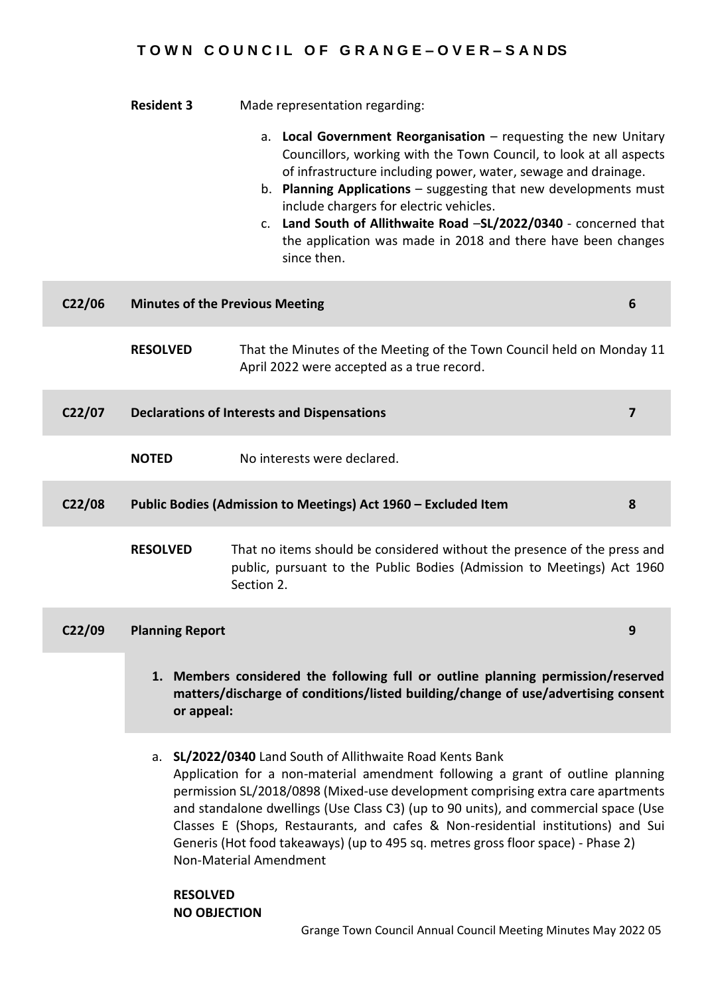|                     | <b>Resident 3</b>                                                                                                                                                                                                                                                                                                                                                                                                                                                                                                                                                                                                                                                                                              | Made representation regarding:<br>a. Local Government Reorganisation $-$ requesting the new Unitary<br>Councillors, working with the Town Council, to look at all aspects<br>of infrastructure including power, water, sewage and drainage.<br>b. Planning Applications - suggesting that new developments must<br>include chargers for electric vehicles.<br>c. Land South of Allithwaite Road -SL/2022/0340 - concerned that<br>the application was made in 2018 and there have been changes<br>since then. |   |  |  |  |
|---------------------|----------------------------------------------------------------------------------------------------------------------------------------------------------------------------------------------------------------------------------------------------------------------------------------------------------------------------------------------------------------------------------------------------------------------------------------------------------------------------------------------------------------------------------------------------------------------------------------------------------------------------------------------------------------------------------------------------------------|---------------------------------------------------------------------------------------------------------------------------------------------------------------------------------------------------------------------------------------------------------------------------------------------------------------------------------------------------------------------------------------------------------------------------------------------------------------------------------------------------------------|---|--|--|--|
| C <sub>22</sub> /06 |                                                                                                                                                                                                                                                                                                                                                                                                                                                                                                                                                                                                                                                                                                                | <b>Minutes of the Previous Meeting</b>                                                                                                                                                                                                                                                                                                                                                                                                                                                                        | 6 |  |  |  |
|                     | <b>RESOLVED</b>                                                                                                                                                                                                                                                                                                                                                                                                                                                                                                                                                                                                                                                                                                | That the Minutes of the Meeting of the Town Council held on Monday 11<br>April 2022 were accepted as a true record.                                                                                                                                                                                                                                                                                                                                                                                           |   |  |  |  |
| C <sub>22</sub> /07 | <b>Declarations of Interests and Dispensations</b>                                                                                                                                                                                                                                                                                                                                                                                                                                                                                                                                                                                                                                                             |                                                                                                                                                                                                                                                                                                                                                                                                                                                                                                               |   |  |  |  |
|                     | <b>NOTED</b>                                                                                                                                                                                                                                                                                                                                                                                                                                                                                                                                                                                                                                                                                                   | No interests were declared.                                                                                                                                                                                                                                                                                                                                                                                                                                                                                   |   |  |  |  |
| C <sub>22</sub> /08 | Public Bodies (Admission to Meetings) Act 1960 - Excluded Item                                                                                                                                                                                                                                                                                                                                                                                                                                                                                                                                                                                                                                                 |                                                                                                                                                                                                                                                                                                                                                                                                                                                                                                               |   |  |  |  |
|                     | <b>RESOLVED</b>                                                                                                                                                                                                                                                                                                                                                                                                                                                                                                                                                                                                                                                                                                | That no items should be considered without the presence of the press and<br>public, pursuant to the Public Bodies (Admission to Meetings) Act 1960<br>Section 2.                                                                                                                                                                                                                                                                                                                                              |   |  |  |  |
| C <sub>22</sub> /09 | <b>Planning Report</b>                                                                                                                                                                                                                                                                                                                                                                                                                                                                                                                                                                                                                                                                                         |                                                                                                                                                                                                                                                                                                                                                                                                                                                                                                               | 9 |  |  |  |
|                     | 1. Members considered the following full or outline planning permission/reserved<br>matters/discharge of conditions/listed building/change of use/advertising consent<br>or appeal:<br>a. SL/2022/0340 Land South of Allithwaite Road Kents Bank<br>Application for a non-material amendment following a grant of outline planning<br>permission SL/2018/0898 (Mixed-use development comprising extra care apartments<br>and standalone dwellings (Use Class C3) (up to 90 units), and commercial space (Use<br>Classes E (Shops, Restaurants, and cafes & Non-residential institutions) and Sui<br>Generis (Hot food takeaways) (up to 495 sq. metres gross floor space) - Phase 2)<br>Non-Material Amendment |                                                                                                                                                                                                                                                                                                                                                                                                                                                                                                               |   |  |  |  |
|                     |                                                                                                                                                                                                                                                                                                                                                                                                                                                                                                                                                                                                                                                                                                                |                                                                                                                                                                                                                                                                                                                                                                                                                                                                                                               |   |  |  |  |

**RESOLVED NO OBJECTION**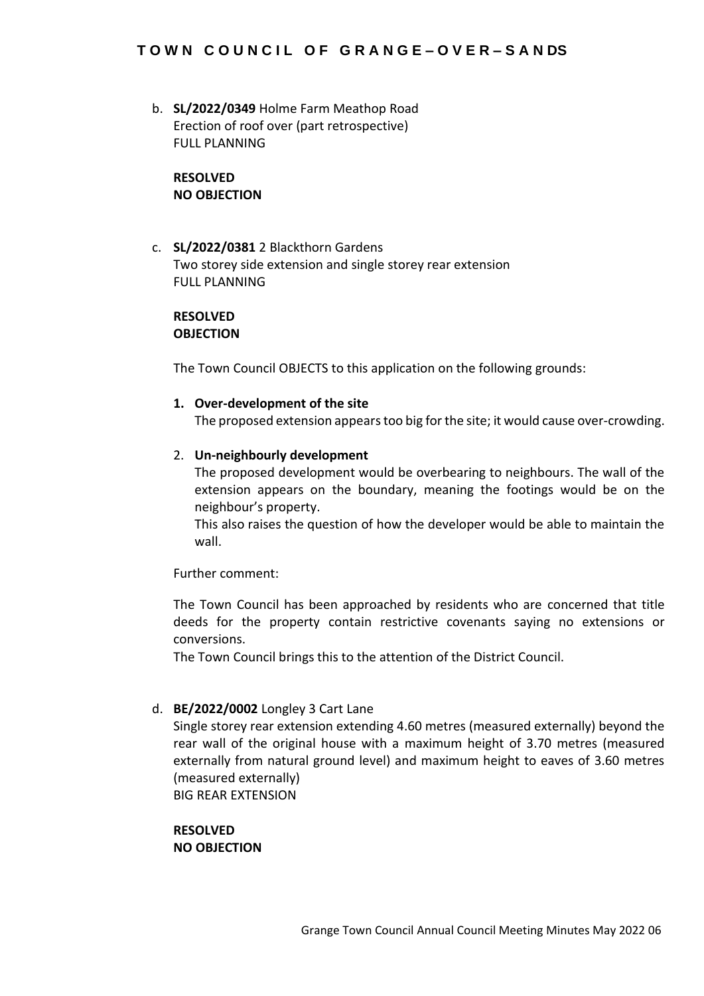b. **SL/2022/0349** Holme Farm Meathop Road Erection of roof over (part retrospective) FULL PLANNING

# **RESOLVED NO OBJECTION**

c. **SL/2022/0381** 2 Blackthorn Gardens Two storey side extension and single storey rear extension FULL PLANNING

# **RESOLVED OBJECTION**

The Town Council OBJECTS to this application on the following grounds:

# **1. Over-development of the site**

The proposed extension appears too big for the site; it would cause over-crowding.

# 2. **Un-neighbourly development**

The proposed development would be overbearing to neighbours. The wall of the extension appears on the boundary, meaning the footings would be on the neighbour's property.

This also raises the question of how the developer would be able to maintain the wall.

Further comment:

The Town Council has been approached by residents who are concerned that title deeds for the property contain restrictive covenants saying no extensions or conversions.

The Town Council brings this to the attention of the District Council.

# d. **BE/2022/0002** Longley 3 Cart Lane

Single storey rear extension extending 4.60 metres (measured externally) beyond the rear wall of the original house with a maximum height of 3.70 metres (measured externally from natural ground level) and maximum height to eaves of 3.60 metres (measured externally)

BIG REAR EXTENSION

**RESOLVED NO OBJECTION**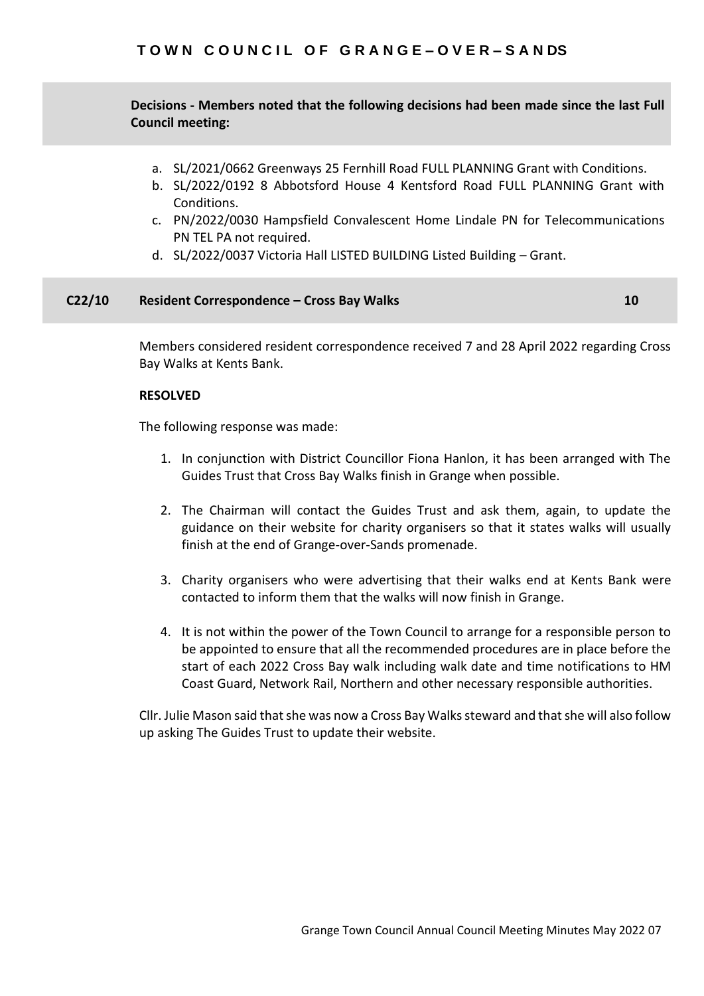**a. Decisions - Members noted that the following decisions had been made since the last Full Council meeting:**

- a. SL/2021/0662 Greenways 25 Fernhill Road FULL PLANNING Grant with Conditions.
- b. SL/2022/0192 8 Abbotsford House 4 Kentsford Road FULL PLANNING Grant with Conditions.
- c. PN/2022/0030 Hampsfield Convalescent Home Lindale PN for Telecommunications PN TEL PA not required.
- d. SL/2022/0037 Victoria Hall LISTED BUILDING Listed Building Grant.

#### **C22/10 Resident Correspondence – Cross Bay Walks 10**

Members considered resident correspondence received 7 and 28 April 2022 regarding Cross Bay Walks at Kents Bank.

# **RESOLVED**

The following response was made:

- 1. In conjunction with District Councillor Fiona Hanlon, it has been arranged with The Guides Trust that Cross Bay Walks finish in Grange when possible.
- 2. The Chairman will contact the Guides Trust and ask them, again, to update the guidance on their website for charity organisers so that it states walks will usually finish at the end of Grange-over-Sands promenade.
- 3. Charity organisers who were advertising that their walks end at Kents Bank were contacted to inform them that the walks will now finish in Grange.
- 4. It is not within the power of the Town Council to arrange for a responsible person to be appointed to ensure that all the recommended procedures are in place before the start of each 2022 Cross Bay walk including walk date and time notifications to HM Coast Guard, Network Rail, Northern and other necessary responsible authorities.

Cllr. Julie Mason said that she was now a Cross Bay Walks steward and that she will also follow up asking The Guides Trust to update their website.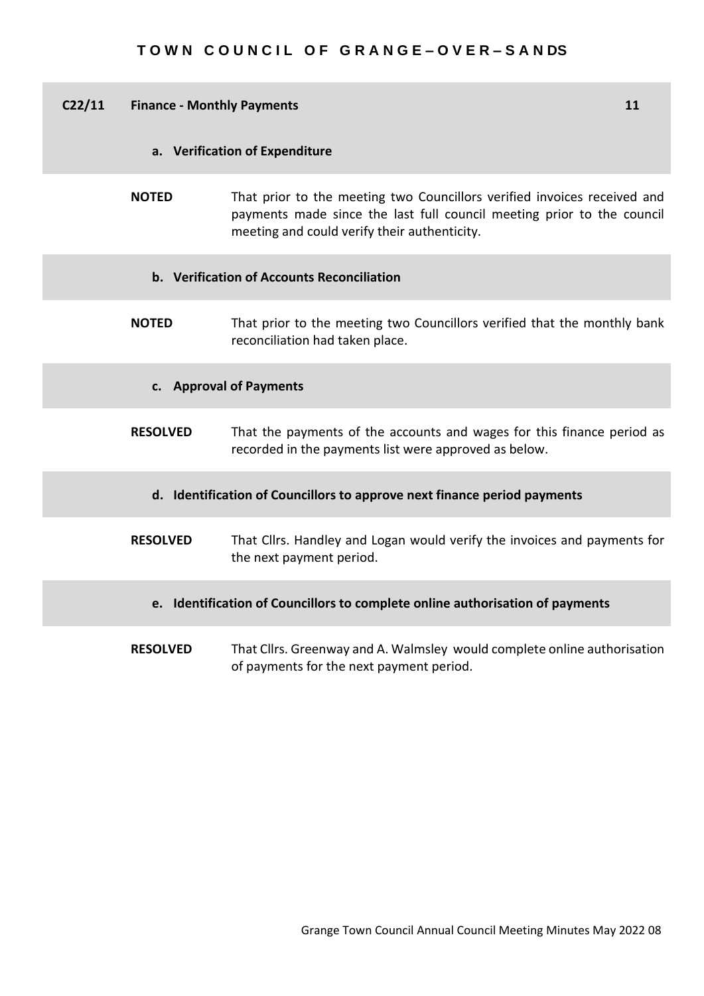| C <sub>2</sub> /11 | <b>Finance - Monthly Payments</b> |                                                                                                                                                                                                    |  |  |  |  |  |  |
|--------------------|-----------------------------------|----------------------------------------------------------------------------------------------------------------------------------------------------------------------------------------------------|--|--|--|--|--|--|
|                    | a. Verification of Expenditure    |                                                                                                                                                                                                    |  |  |  |  |  |  |
|                    | <b>NOTED</b>                      | That prior to the meeting two Councillors verified invoices received and<br>payments made since the last full council meeting prior to the council<br>meeting and could verify their authenticity. |  |  |  |  |  |  |
|                    |                                   | b. Verification of Accounts Reconciliation                                                                                                                                                         |  |  |  |  |  |  |
|                    | <b>NOTED</b>                      | That prior to the meeting two Councillors verified that the monthly bank<br>reconciliation had taken place.                                                                                        |  |  |  |  |  |  |
|                    | c. Approval of Payments           |                                                                                                                                                                                                    |  |  |  |  |  |  |
|                    | <b>RESOLVED</b>                   | That the payments of the accounts and wages for this finance period as<br>recorded in the payments list were approved as below.                                                                    |  |  |  |  |  |  |
|                    |                                   | d. Identification of Councillors to approve next finance period payments                                                                                                                           |  |  |  |  |  |  |
|                    | <b>RESOLVED</b>                   | That Cllrs. Handley and Logan would verify the invoices and payments for<br>the next payment period.                                                                                               |  |  |  |  |  |  |
|                    |                                   | e. Identification of Councillors to complete online authorisation of payments                                                                                                                      |  |  |  |  |  |  |
|                    | <b>RESOLVED</b>                   | That Cllrs. Greenway and A. Walmsley would complete online authorisation<br>of payments for the next payment period.                                                                               |  |  |  |  |  |  |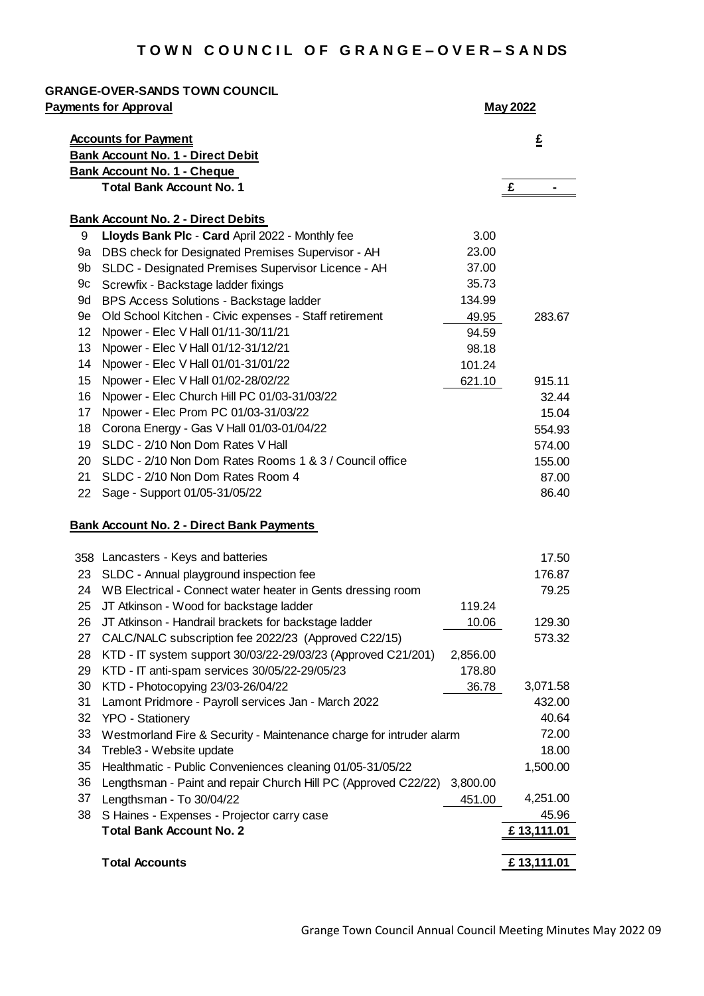|                   | <b>Payments for Approval</b>                                        |          | <b>May 2022</b> |        |
|-------------------|---------------------------------------------------------------------|----------|-----------------|--------|
|                   | <b>Accounts for Payment</b>                                         |          |                 | £      |
|                   | <b>Bank Account No. 1 - Direct Debit</b>                            |          |                 |        |
|                   | <b>Bank Account No. 1 - Cheque</b>                                  |          |                 |        |
|                   | <b>Total Bank Account No. 1</b>                                     |          | £               |        |
|                   | <b>Bank Account No. 2 - Direct Debits</b>                           |          |                 |        |
| 9                 | Lloyds Bank Plc - Card April 2022 - Monthly fee                     | 3.00     |                 |        |
| 9a                | DBS check for Designated Premises Supervisor - AH                   | 23.00    |                 |        |
| 9b                | SLDC - Designated Premises Supervisor Licence - AH                  | 37.00    |                 |        |
| 9с                | Screwfix - Backstage ladder fixings                                 | 35.73    |                 |        |
| 9d                | BPS Access Solutions - Backstage ladder                             | 134.99   |                 |        |
| 9e                | Old School Kitchen - Civic expenses - Staff retirement              | 49.95    |                 | 283.67 |
| $12 \overline{ }$ | Npower - Elec V Hall 01/11-30/11/21                                 | 94.59    |                 |        |
| 13                | Npower - Elec V Hall 01/12-31/12/21                                 | 98.18    |                 |        |
| 14                | Npower - Elec V Hall 01/01-31/01/22                                 | 101.24   |                 |        |
| 15                | Npower - Elec V Hall 01/02-28/02/22                                 | 621.10   |                 | 915.11 |
| 16                | Npower - Elec Church Hill PC 01/03-31/03/22                         |          |                 | 32.44  |
| 17                | Npower - Elec Prom PC 01/03-31/03/22                                |          |                 | 15.04  |
| 18                | Corona Energy - Gas V Hall 01/03-01/04/22                           |          |                 | 554.93 |
| 19                | SLDC - 2/10 Non Dom Rates V Hall                                    |          |                 | 574.00 |
| 20                | SLDC - 2/10 Non Dom Rates Rooms 1 & 3 / Council office              |          |                 | 155.00 |
| 21                | SLDC - 2/10 Non Dom Rates Room 4                                    |          |                 | 87.00  |
| 22                | Sage - Support 01/05-31/05/22                                       |          |                 | 86.40  |
|                   | <b>Bank Account No. 2 - Direct Bank Payments</b>                    |          |                 |        |
|                   | 358 Lancasters - Keys and batteries                                 |          |                 | 17.50  |
| 23                | SLDC - Annual playground inspection fee                             |          |                 | 176.87 |
| 24                | WB Electrical - Connect water heater in Gents dressing room         |          |                 | 79.25  |
| 25                | JT Atkinson - Wood for backstage ladder                             | 119.24   |                 |        |
| 26                | JT Atkinson - Handrail brackets for backstage ladder                | 10.06    |                 | 129.30 |
| 27                | CALC/NALC subscription fee 2022/23 (Approved C22/15)                |          |                 | 573.32 |
| 28                | KTD - IT system support 30/03/22-29/03/23 (Approved C21/201)        | 2,856.00 |                 |        |
| 29                | KTD - IT anti-spam services 30/05/22-29/05/23                       | 178.80   |                 |        |
| 30                | KTD - Photocopying 23/03-26/04/22                                   | 36.78    | 3,071.58        |        |
| 31                | Lamont Pridmore - Payroll services Jan - March 2022                 |          |                 | 432.00 |
| 32                | YPO - Stationery                                                    |          |                 | 40.64  |
| 33                | Westmorland Fire & Security - Maintenance charge for intruder alarm |          |                 | 72.00  |
| 34                | Treble3 - Website update                                            |          |                 | 18.00  |
| 35                |                                                                     |          |                 |        |
|                   | Healthmatic - Public Conveniences cleaning 01/05-31/05/22           |          | 1,500.00        |        |
| 36                | Lengthsman - Paint and repair Church Hill PC (Approved C22/22)      | 3,800.00 |                 |        |
| 37                | Lengthsman - To 30/04/22                                            | 451.00   | 4,251.00        |        |
| 38                | S Haines - Expenses - Projector carry case                          |          |                 | 45.96  |
|                   | <b>Total Bank Account No. 2</b>                                     |          | £13,111.01      |        |
|                   | <b>Total Accounts</b>                                               |          | £13,111.01      |        |
|                   |                                                                     |          |                 |        |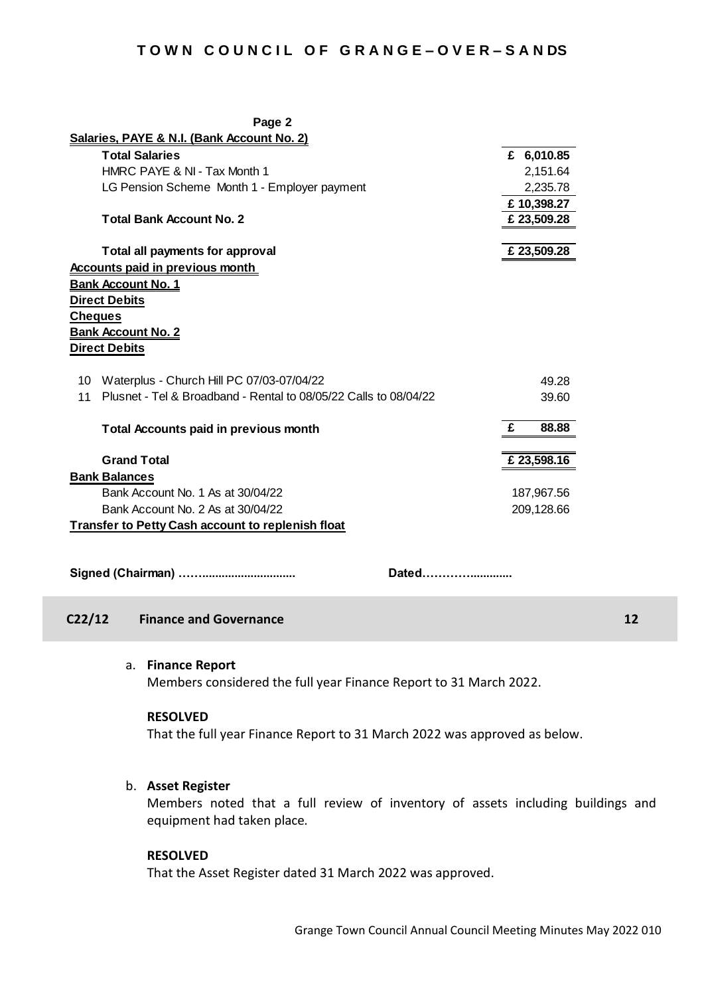| Page 2                                                                 |   |             |  |  |  |  |
|------------------------------------------------------------------------|---|-------------|--|--|--|--|
| Salaries, PAYE & N.I. (Bank Account No. 2)                             |   |             |  |  |  |  |
| <b>Total Salaries</b>                                                  |   | £ 6,010.85  |  |  |  |  |
| HMRC PAYE & NI - Tax Month 1                                           |   | 2,151.64    |  |  |  |  |
| LG Pension Scheme Month 1 - Employer payment                           |   | 2,235.78    |  |  |  |  |
|                                                                        |   | £10,398.27  |  |  |  |  |
| <b>Total Bank Account No. 2</b>                                        |   | £ 23,509.28 |  |  |  |  |
|                                                                        |   |             |  |  |  |  |
| Total all payments for approval                                        |   | £ 23,509.28 |  |  |  |  |
| <b>Accounts paid in previous month</b>                                 |   |             |  |  |  |  |
| <b>Bank Account No. 1</b>                                              |   |             |  |  |  |  |
| <b>Direct Debits</b>                                                   |   |             |  |  |  |  |
| <b>Cheques</b>                                                         |   |             |  |  |  |  |
| <b>Bank Account No. 2</b>                                              |   |             |  |  |  |  |
| <b>Direct Debits</b>                                                   |   |             |  |  |  |  |
|                                                                        |   |             |  |  |  |  |
| 10 Waterplus - Church Hill PC 07/03-07/04/22                           |   | 49.28       |  |  |  |  |
| Plusnet - Tel & Broadband - Rental to 08/05/22 Calls to 08/04/22<br>11 |   | 39.60       |  |  |  |  |
|                                                                        |   |             |  |  |  |  |
| <b>Total Accounts paid in previous month</b>                           | £ | 88.88       |  |  |  |  |
|                                                                        |   |             |  |  |  |  |
| <b>Grand Total</b>                                                     |   | £ 23,598.16 |  |  |  |  |
| <b>Bank Balances</b>                                                   |   |             |  |  |  |  |
| Bank Account No. 1 As at 30/04/22                                      |   | 187,967.56  |  |  |  |  |
| Bank Account No. 2 As at 30/04/22                                      |   | 209,128.66  |  |  |  |  |
| <b>Transfer to Petty Cash account to replenish float</b>               |   |             |  |  |  |  |
|                                                                        |   |             |  |  |  |  |
|                                                                        |   |             |  |  |  |  |
| Dated                                                                  |   |             |  |  |  |  |
|                                                                        |   |             |  |  |  |  |

# **C22/12 Finance and Governance 12**

a. **Finance Report**

Members considered the full year Finance Report to 31 March 2022.

#### **RESOLVED**

That the full year Finance Report to 31 March 2022 was approved as below.

#### b. **Asset Register**

Members noted that a full review of inventory of assets including buildings and equipment had taken place*.*

# **RESOLVED**

That the Asset Register dated 31 March 2022 was approved.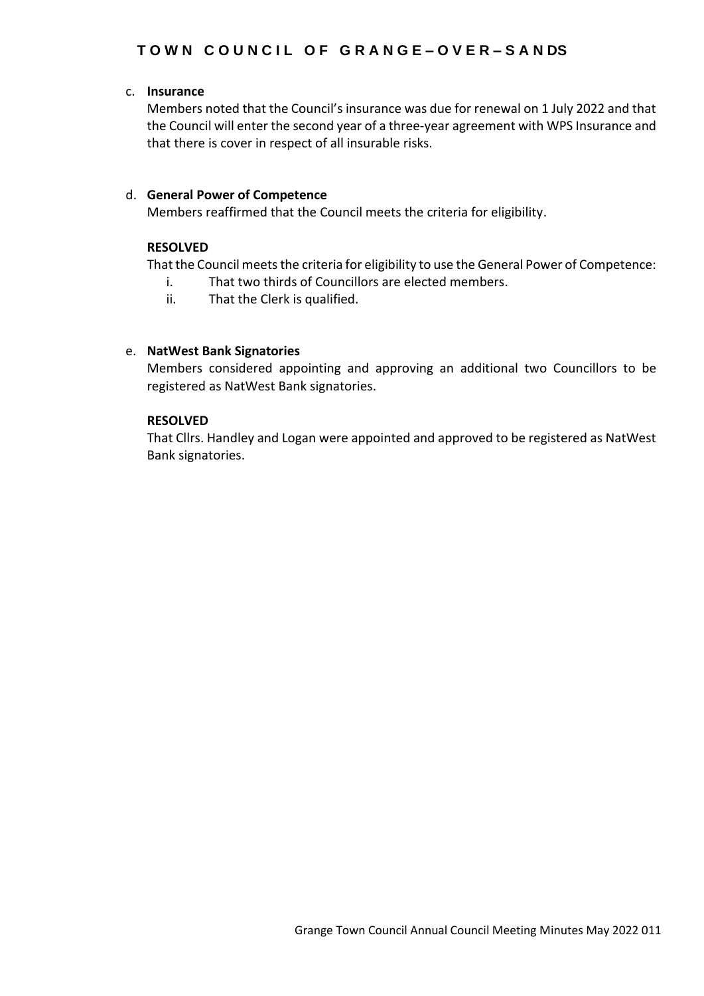# c. **Insurance**

Members noted that the Council's insurance was due for renewal on 1 July 2022 and that the Council will enter the second year of a three-year agreement with WPS Insurance and that there is cover in respect of all insurable risks.

# d. **General Power of Competence**

Members reaffirmed that the Council meets the criteria for eligibility.

# **RESOLVED**

That the Council meets the criteria for eligibility to use the General Power of Competence:

- i. That two thirds of Councillors are elected members.
- ii. That the Clerk is qualified.

# e. **NatWest Bank Signatories**

Members considered appointing and approving an additional two Councillors to be registered as NatWest Bank signatories.

# **RESOLVED**

That Cllrs. Handley and Logan were appointed and approved to be registered as NatWest Bank signatories.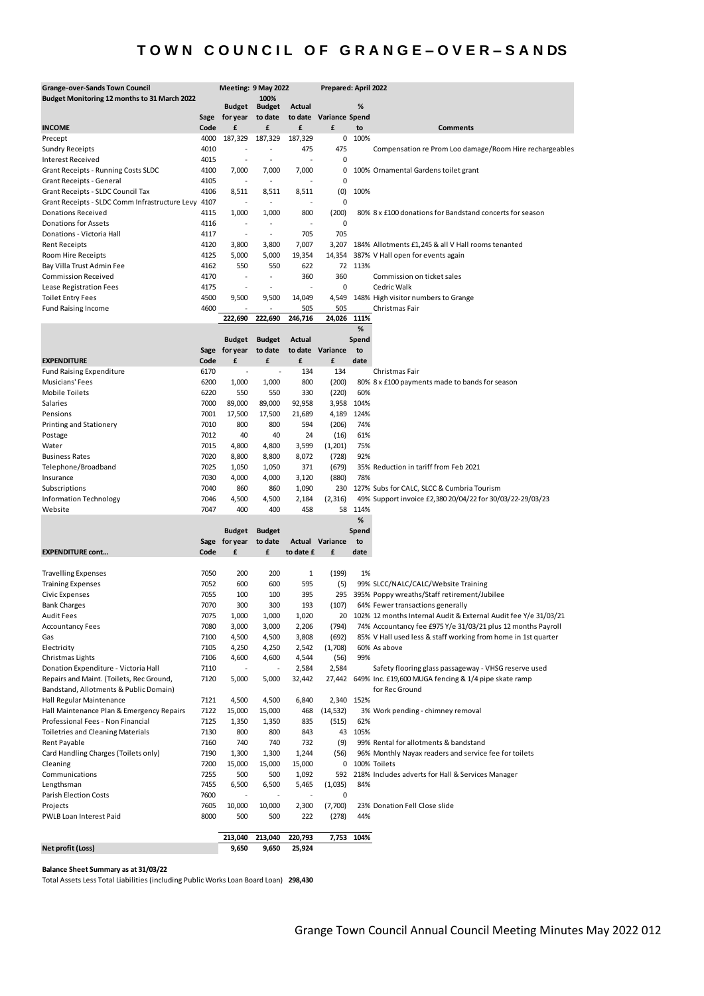| <b>Grange-over-Sands Town Council</b>                    |              | Meeting: 9 May 2022 |                          |                | Prepared: April 2022 |              |                                                                                                              |
|----------------------------------------------------------|--------------|---------------------|--------------------------|----------------|----------------------|--------------|--------------------------------------------------------------------------------------------------------------|
| Budget Monitoring 12 months to 31 March 2022             |              |                     | 100%                     |                |                      |              |                                                                                                              |
|                                                          |              | <b>Budget</b>       | <b>Budget</b>            | <b>Actual</b>  |                      | %            |                                                                                                              |
| <b>INCOME</b>                                            | Sage<br>Code | for year<br>£       | to date<br>£             | to date<br>£   | Variance Spend<br>£  | to           | <b>Comments</b>                                                                                              |
| Precept                                                  | 4000         | 187,329             | 187,329                  | 187,329        |                      | 0 100%       |                                                                                                              |
| Sundry Receipts                                          | 4010         |                     |                          | 475            | 475                  |              | Compensation re Prom Loo damage/Room Hire rechargeables                                                      |
| Interest Received                                        | 4015         |                     | $\blacksquare$           |                | 0                    |              |                                                                                                              |
| Grant Receipts - Running Costs SLDC                      | 4100         | 7,000               | 7,000                    | 7,000          | 0                    |              | 100% Ornamental Gardens toilet grant                                                                         |
| Grant Receipts - General                                 | 4105         |                     | ÷                        |                | 0                    |              |                                                                                                              |
| Grant Receipts - SLDC Council Tax                        | 4106         | 8,511               | 8,511                    | 8,511          | (0)                  | 100%         |                                                                                                              |
| Grant Receipts - SLDC Comm Infrastructure Levy 4107      |              |                     | $\blacksquare$           |                | 0                    |              |                                                                                                              |
| <b>Donations Received</b>                                | 4115         | 1,000               | 1,000                    | 800            | (200)                |              | 80% 8 x £100 donations for Bandstand concerts for season                                                     |
| <b>Donations for Assets</b>                              | 4116         |                     |                          |                | 0                    |              |                                                                                                              |
| Donations - Victoria Hall                                | 4117         | $\sim$              | $\overline{\phantom{a}}$ | 705            | 705                  |              |                                                                                                              |
| <b>Rent Receipts</b>                                     | 4120         | 3,800               | 3,800                    | 7,007          | 3,207                |              | 184% Allotments £1,245 & all V Hall rooms tenanted                                                           |
| Room Hire Receipts                                       | 4125         | 5,000               | 5,000                    | 19,354         | 14,354               |              | 387% V Hall open for events again                                                                            |
| Bay Villa Trust Admin Fee                                | 4162         | 550                 | 550                      | 622            |                      | 72 113%      |                                                                                                              |
| <b>Commission Received</b>                               | 4170         | ÷,                  | $\overline{\phantom{a}}$ | 360            | 360                  |              | Commission on ticket sales                                                                                   |
| Lease Registration Fees                                  | 4175         |                     | ÷,                       |                | 0                    |              | Cedric Walk                                                                                                  |
| <b>Toilet Entry Fees</b>                                 | 4500         | 9,500               | 9,500                    | 14,049         | 4,549                |              | 148% High visitor numbers to Grange                                                                          |
| <b>Fund Raising Income</b>                               | 4600         |                     | $\overline{a}$           | 505            | 505                  |              | Christmas Fair                                                                                               |
|                                                          |              | 222,690             | 222,690                  | 246,716        | 24,026               | 111%         |                                                                                                              |
|                                                          |              |                     |                          |                |                      | %            |                                                                                                              |
|                                                          |              | <b>Budget</b>       | <b>Budget</b>            | Actual         |                      | Spend        |                                                                                                              |
|                                                          |              | Sage for year       | to date                  | to date        | Variance             | to           |                                                                                                              |
| <b>EXPENDITURE</b>                                       | Code         | £                   | £                        | £              | £                    | date         |                                                                                                              |
| <b>Fund Raising Expenditure</b>                          | 6170         | $\overline{a}$      | $\overline{a}$           | 134            | 134                  |              | Christmas Fair                                                                                               |
| Musicians' Fees                                          | 6200         | 1,000               | 1,000                    | 800            | (200)                |              | 80% 8 x £100 payments made to bands for season                                                               |
| <b>Mobile Toilets</b>                                    | 6220         | 550                 | 550                      | 330            | (220)                | 60%          |                                                                                                              |
| Salaries<br>Pensions                                     | 7000<br>7001 | 89,000              | 89,000                   | 92,958         | 3,958                | 104%<br>124% |                                                                                                              |
| Printing and Stationery                                  | 7010         | 17,500<br>800       | 17,500<br>800            | 21,689<br>594  | 4,189<br>(206)       | 74%          |                                                                                                              |
| Postage                                                  | 7012         | 40                  | 40                       | 24             | (16)                 | 61%          |                                                                                                              |
| Water                                                    | 7015         | 4,800               | 4,800                    | 3,599          | (1, 201)             | 75%          |                                                                                                              |
| <b>Business Rates</b>                                    | 7020         | 8,800               | 8,800                    | 8,072          | (728)                | 92%          |                                                                                                              |
| Telephone/Broadband                                      | 7025         | 1,050               | 1,050                    | 371            | (679)                |              | 35% Reduction in tariff from Feb 2021                                                                        |
| Insurance                                                | 7030         | 4,000               | 4,000                    | 3,120          | (880)                | 78%          |                                                                                                              |
| Subscriptions                                            | 7040         | 860                 | 860                      | 1,090          | 230                  |              | 127% Subs for CALC, SLCC & Cumbria Tourism                                                                   |
| Information Technology                                   | 7046         | 4,500               | 4,500                    | 2,184          | (2, 316)             |              | 49% Support invoice £2,380 20/04/22 for 30/03/22-29/03/23                                                    |
| Website                                                  | 7047         | 400                 | 400                      | 458            |                      | 58 114%      |                                                                                                              |
|                                                          |              |                     |                          |                |                      | $\%$         |                                                                                                              |
|                                                          |              | <b>Budget</b>       | <b>Budget</b>            |                |                      | Spend        |                                                                                                              |
|                                                          |              | Sage for year       | to date                  | Actual         | Variance             | to           |                                                                                                              |
| <b>EXPENDITURE cont</b>                                  | Code         | £                   | £                        | to date £      | £                    | date         |                                                                                                              |
|                                                          |              |                     |                          |                |                      |              |                                                                                                              |
| <b>Travelling Expenses</b>                               | 7050         | 200                 | 200                      | 1              | (199)                | 1%           |                                                                                                              |
| <b>Training Expenses</b>                                 | 7052         | 600                 | 600                      | 595            | (5)                  |              | 99% SLCC/NALC/CALC/Website Training                                                                          |
| Civic Expenses                                           | 7055         | 100                 | 100                      | 395            | 295                  |              | 395% Poppy wreaths/Staff retirement/Jubilee                                                                  |
| <b>Bank Charges</b>                                      | 7070         | 300                 | 300                      | 193            | (107)                |              | 64% Fewer transactions generally                                                                             |
| Audit Fees                                               | 7075         | 1,000               | 1,000                    | 1,020          | 20                   |              | 102% 12 months Internal Audit & External Audit fee Y/e 31/03/21                                              |
| <b>Accountancy Fees</b>                                  | 7080         | 3,000               | 3,000                    | 2,206          | (794)                |              | 74% Accountancy fee £975 Y/e 31/03/21 plus 12 months Payroll                                                 |
| Gas                                                      | 7100         | 4,500               | 4,500                    | 3,808          | (692)                |              | 85% V Hall used less & staff working from home in 1st quarter                                                |
| Electricity                                              | 7105         | 4,250               | 4,250                    | 2,542          | (1,708)              |              | 60% As above                                                                                                 |
| Christmas Lights<br>Donation Expenditure - Victoria Hall | 7106         | 4,600               | 4,600                    | 4,544<br>2,584 | (56)<br>2,584        | 99%          |                                                                                                              |
| Repairs and Maint. (Toilets, Rec Ground,                 | 7110<br>7120 | 5,000               | 5,000                    | 32,442         | 27,442               |              | Safety flooring glass passageway - VHSG reserve used<br>649% Inc. £19,600 MUGA fencing & 1/4 pipe skate ramp |
| Bandstand, Allotments & Public Domain)                   |              |                     |                          |                |                      |              | for Rec Ground                                                                                               |
| Hall Regular Maintenance                                 | 7121         | 4,500               | 4,500                    | 6,840          |                      | 2,340 152%   |                                                                                                              |
| Hall Maintenance Plan & Emergency Repairs                | 7122         | 15,000              | 15,000                   | 468            | (14, 532)            |              | 3% Work pending - chimney removal                                                                            |
| Professional Fees - Non Financial                        | 7125         | 1,350               | 1,350                    | 835            | (515)                | 62%          |                                                                                                              |
| <b>Toiletries and Cleaning Materials</b>                 | 7130         | 800                 | 800                      | 843            | 43                   | 105%         |                                                                                                              |
| Rent Payable                                             | 7160         | 740                 | 740                      | 732            | (9)                  |              | 99% Rental for allotments & bandstand                                                                        |
| Card Handling Charges (Toilets only)                     | 7190         | 1,300               | 1,300                    | 1,244          | (56)                 |              | 96% Monthly Nayax readers and service fee for toilets                                                        |
| Cleaning                                                 | 7200         | 15,000              | 15,000                   | 15,000         |                      |              | 0 100% Toilets                                                                                               |
| Communications                                           | 7255         | 500                 | 500                      | 1,092          | 592                  |              | 218% Includes adverts for Hall & Services Manager                                                            |
| Lengthsman                                               | 7455         | 6,500               | 6,500                    | 5,465          | (1,035)              | 84%          |                                                                                                              |
| Parish Election Costs                                    | 7600         |                     |                          |                | 0                    |              |                                                                                                              |
| Projects                                                 | 7605         | 10,000              | 10,000                   | 2,300          | (7,700)              |              | 23% Donation Fell Close slide                                                                                |
| PWLB Loan Interest Paid                                  | 8000         | 500                 | 500                      | 222            | (278)                | 44%          |                                                                                                              |
|                                                          |              |                     |                          |                |                      |              |                                                                                                              |
|                                                          |              | 213,040             | 213,040                  | 220,793        | 7,753                | 104%         |                                                                                                              |
| Net profit (Loss)                                        |              | 9,650               | 9,650                    | 25,924         |                      |              |                                                                                                              |

**Balance Sheet Summary as at 31/03/22**

Total Assets Less Total Liabilities (including Public Works Loan Board Loan) **298,430**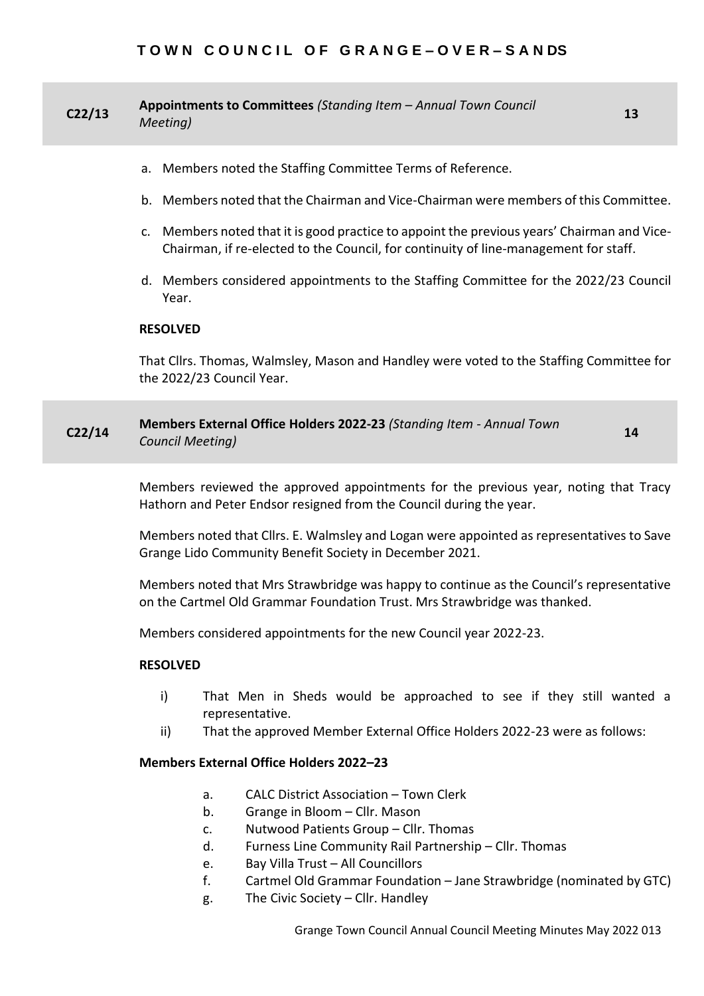| C <sub>2</sub> /13 | Appointments to Committees (Standing Item - Annual Town Council<br>13<br>Meeting)                                                                                                                         |  |  |  |  |  |  |  |
|--------------------|-----------------------------------------------------------------------------------------------------------------------------------------------------------------------------------------------------------|--|--|--|--|--|--|--|
|                    | a. Members noted the Staffing Committee Terms of Reference.                                                                                                                                               |  |  |  |  |  |  |  |
|                    | b. Members noted that the Chairman and Vice-Chairman were members of this Committee.                                                                                                                      |  |  |  |  |  |  |  |
|                    | c. Members noted that it is good practice to appoint the previous years' Chairman and Vice-<br>Chairman, if re-elected to the Council, for continuity of line-management for staff.                       |  |  |  |  |  |  |  |
|                    | d. Members considered appointments to the Staffing Committee for the 2022/23 Council<br>Year.                                                                                                             |  |  |  |  |  |  |  |
|                    | <b>RESOLVED</b>                                                                                                                                                                                           |  |  |  |  |  |  |  |
|                    | That Cllrs. Thomas, Walmsley, Mason and Handley were voted to the Staffing Committee for<br>the 2022/23 Council Year.                                                                                     |  |  |  |  |  |  |  |
| C <sub>2</sub> /14 | Members External Office Holders 2022-23 (Standing Item - Annual Town<br>14<br>Council Meeting)                                                                                                            |  |  |  |  |  |  |  |
|                    | Members reviewed the approved appointments for the previous year, noting that Tracy<br>Hathorn and Peter Endsor resigned from the Council during the year.                                                |  |  |  |  |  |  |  |
|                    | Members noted that Cllrs. E. Walmsley and Logan were appointed as representatives to Save<br>Grange Lido Community Benefit Society in December 2021.                                                      |  |  |  |  |  |  |  |
|                    | Members noted that Mrs Strawbridge was happy to continue as the Council's representative<br>on the Cartmel Old Grammar Foundation Trust. Mrs Strawbridge was thanked.                                     |  |  |  |  |  |  |  |
|                    | Members considered appointments for the new Council year 2022-23.                                                                                                                                         |  |  |  |  |  |  |  |
|                    | <b>RESOLVED</b>                                                                                                                                                                                           |  |  |  |  |  |  |  |
|                    | i)<br>That Men in Sheds would be approached to see if they still wanted a<br>representative.                                                                                                              |  |  |  |  |  |  |  |
|                    | That the approved Member External Office Holders 2022-23 were as follows:<br>ii)                                                                                                                          |  |  |  |  |  |  |  |
|                    | <b>Members External Office Holders 2022-23</b>                                                                                                                                                            |  |  |  |  |  |  |  |
|                    | <b>CALC District Association - Town Clerk</b><br>a.<br>Grange in Bloom - Cllr. Mason<br>b.<br>Nutwood Patients Group - Cllr. Thomas<br>c.<br>Furness Line Community Rail Partnership - Cllr. Thomas<br>d. |  |  |  |  |  |  |  |

- e. Bay Villa Trust All Councillors
- f. Cartmel Old Grammar Foundation Jane Strawbridge (nominated by GTC)
- g. The Civic Society Cllr. Handley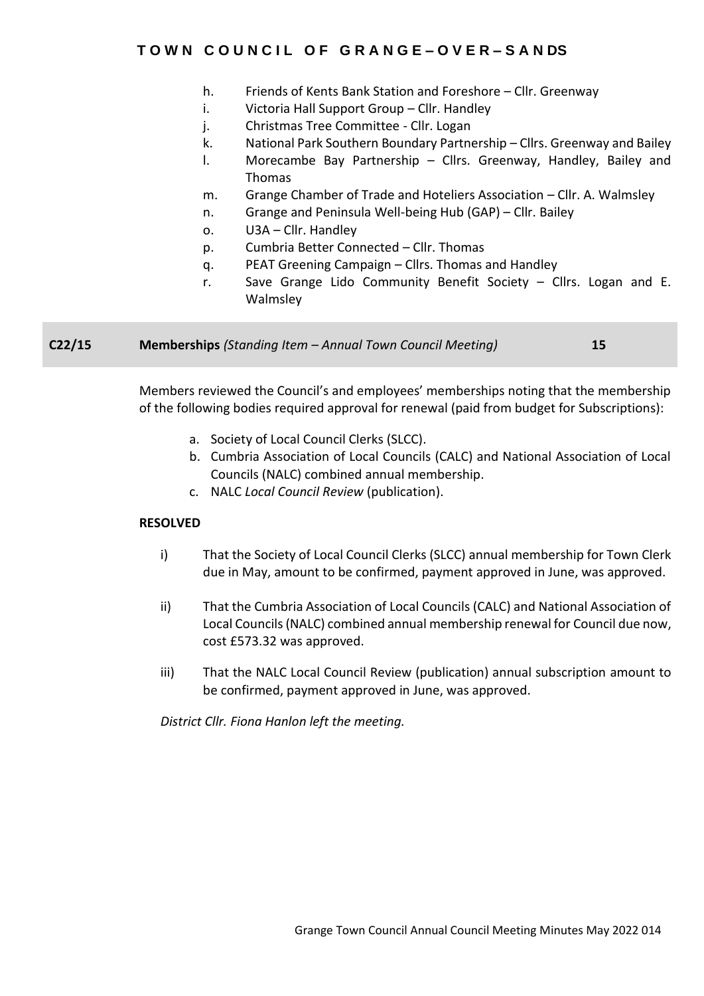- h. Friends of Kents Bank Station and Foreshore Cllr. Greenway
- i. Victoria Hall Support Group Cllr. Handley
- j. Christmas Tree Committee Cllr. Logan
- k. National Park Southern Boundary Partnership Cllrs. Greenway and Bailey
- l. Morecambe Bay Partnership Cllrs. Greenway, Handley, Bailey and Thomas
- m. Grange Chamber of Trade and Hoteliers Association Cllr. A. Walmsley
- n. Grange and Peninsula Well-being Hub (GAP) Cllr. Bailey
- o. U3A Cllr. Handley
- p. Cumbria Better Connected Cllr. Thomas
- q. PEAT Greening Campaign Cllrs. Thomas and Handley
- r. Save Grange Lido Community Benefit Society Cllrs. Logan and E. Walmsley

**C22/15 Memberships** *(Standing Item – Annual Town Council Meeting)* **15**

Members reviewed the Council's and employees' memberships noting that the membership of the following bodies required approval for renewal (paid from budget for Subscriptions):

- a. Society of Local Council Clerks (SLCC).
- b. Cumbria Association of Local Councils (CALC) and National Association of Local Councils (NALC) combined annual membership.
- c. NALC *Local Council Review* (publication).

#### **RESOLVED**

- i) That the Society of Local Council Clerks (SLCC) annual membership for Town Clerk due in May, amount to be confirmed, payment approved in June, was approved.
- ii) That the Cumbria Association of Local Councils (CALC) and National Association of Local Councils (NALC) combined annual membership renewal for Council due now, cost £573.32 was approved.
- iii) That the NALC Local Council Review (publication) annual subscription amount to be confirmed, payment approved in June, was approved.

*District Cllr. Fiona Hanlon left the meeting.*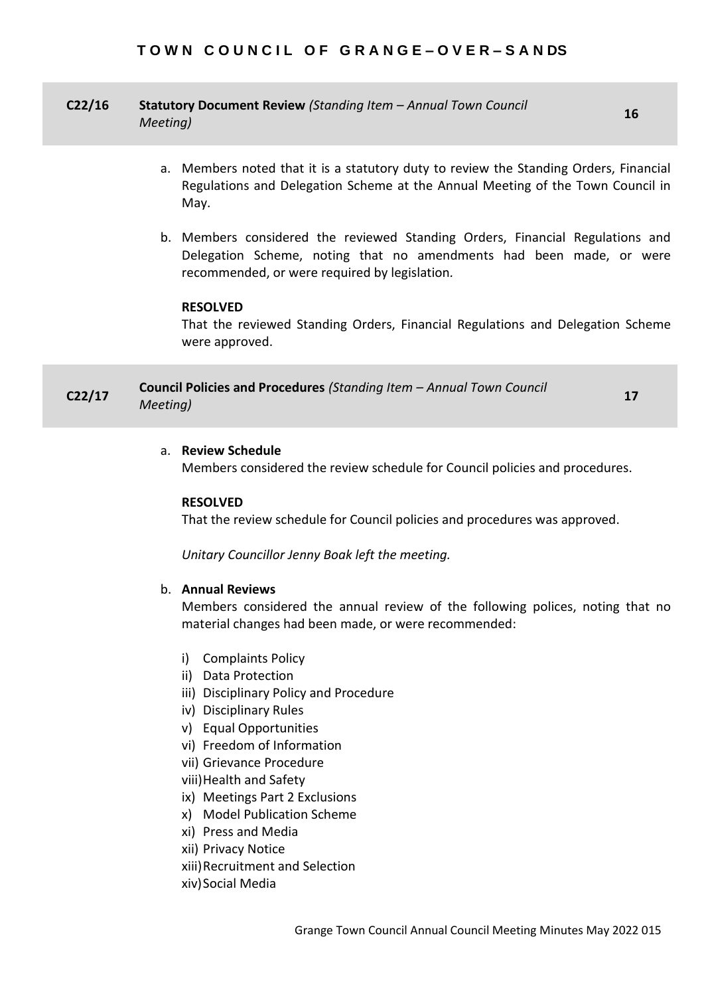# **C22/16 Statutory Document Review** *(Standing Item – Annual Town Council Meeting)* **<sup>16</sup>**

- a. Members noted that it is a statutory duty to review the Standing Orders, Financial Regulations and Delegation Scheme at the Annual Meeting of the Town Council in May.
- b. Members considered the reviewed Standing Orders, Financial Regulations and Delegation Scheme, noting that no amendments had been made, or were recommended, or were required by legislation*.*

# **RESOLVED**

That the reviewed Standing Orders, Financial Regulations and Delegation Scheme were approved.

# **C22/17 Council Policies and Procedures** *(Standing Item – Annual Town Council Meeting)* **<sup>17</sup>**

#### a. **Review Schedule**

Members considered the review schedule for Council policies and procedures.

#### **RESOLVED**

That the review schedule for Council policies and procedures was approved.

*Unitary Councillor Jenny Boak left the meeting.*

# b. **Annual Reviews**

Members considered the annual review of the following polices, noting that no material changes had been made, or were recommended:

- i) Complaints Policy
- ii) Data Protection
- iii) Disciplinary Policy and Procedure
- iv) Disciplinary Rules
- v) Equal Opportunities
- vi) Freedom of Information
- vii) Grievance Procedure
- viii)Health and Safety
- ix) Meetings Part 2 Exclusions
- x) Model Publication Scheme
- xi) Press and Media
- xii) Privacy Notice
- xiii)Recruitment and Selection
- xiv)Social Media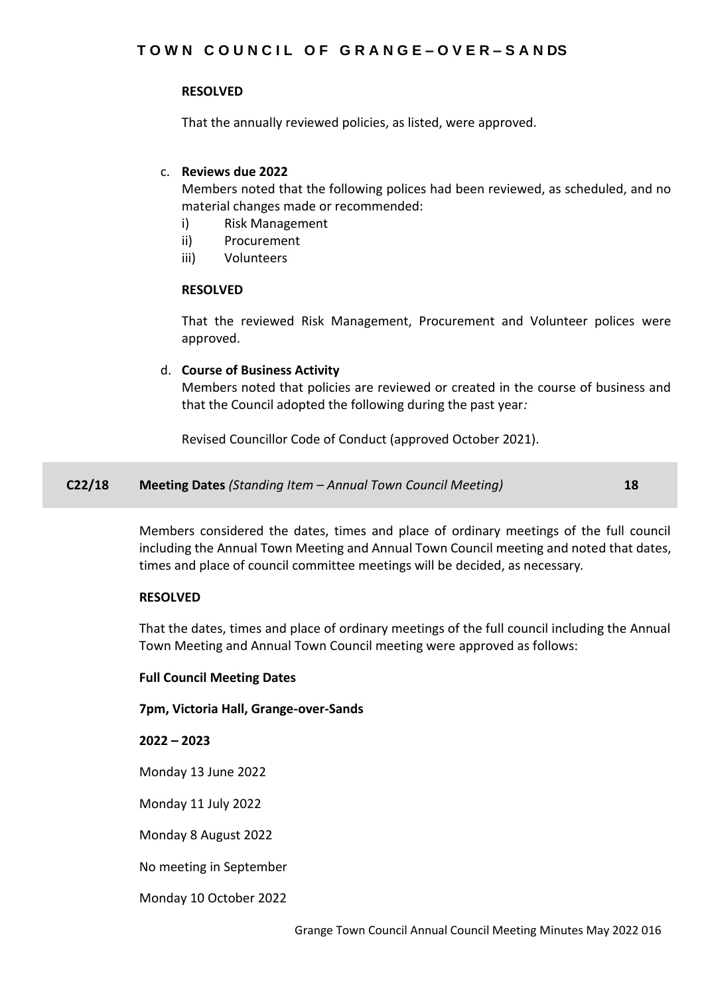# **RESOLVED**

That the annually reviewed policies, as listed, were approved.

# c. **Reviews due 2022**

Members noted that the following polices had been reviewed, as scheduled, and no material changes made or recommended:

- i) Risk Management
- ii) Procurement
- iii) Volunteers

#### **RESOLVED**

That the reviewed Risk Management, Procurement and Volunteer polices were approved.

# d. **Course of Business Activity**

Members noted that policies are reviewed or created in the course of business and that the Council adopted the following during the past year*:*

Revised Councillor Code of Conduct (approved October 2021).

**C22/18 Meeting Dates** *(Standing Item – Annual Town Council Meeting)* **18**

Members considered the dates, times and place of ordinary meetings of the full council including the Annual Town Meeting and Annual Town Council meeting and noted that dates, times and place of council committee meetings will be decided, as necessary*.*

#### **RESOLVED**

That the dates, times and place of ordinary meetings of the full council including the Annual Town Meeting and Annual Town Council meeting were approved as follows:

#### **Full Council Meeting Dates**

#### **7pm, Victoria Hall, Grange-over-Sands**

**2022 – 2023**

Monday 13 June 2022

Monday 11 July 2022

Monday 8 August 2022

No meeting in September

Monday 10 October 2022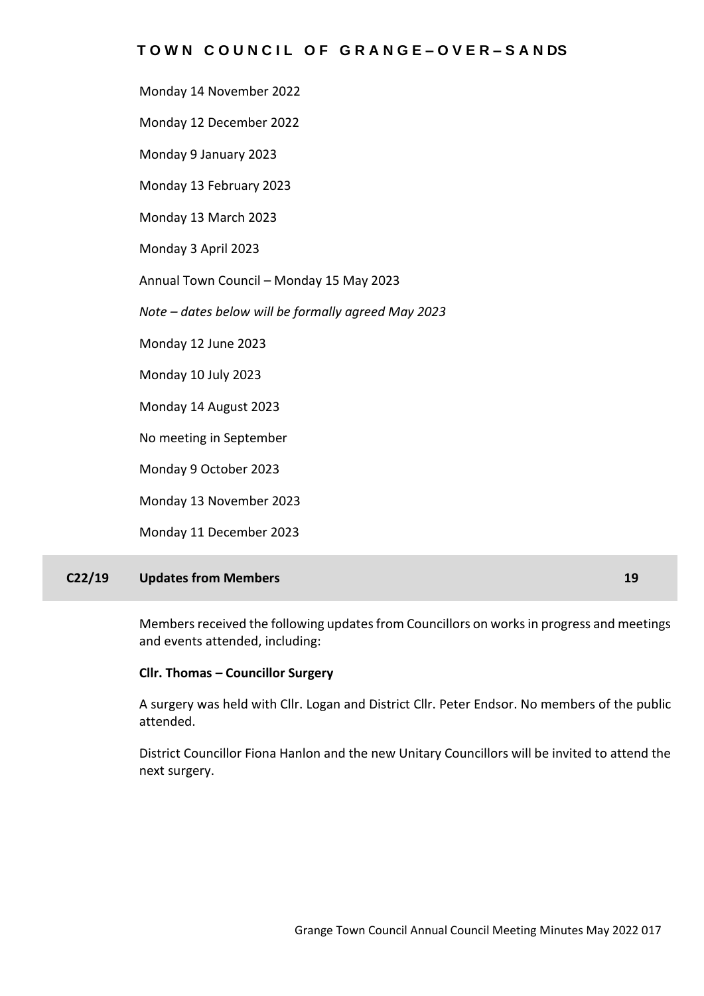Monday 14 November 2022

Monday 12 December 2022

Monday 9 January 2023

Monday 13 February 2023

Monday 13 March 2023

Monday 3 April 2023

Annual Town Council – Monday 15 May 2023

*Note – dates below will be formally agreed May 2023*

Monday 12 June 2023

Monday 10 July 2023

Monday 14 August 2023

No meeting in September

Monday 9 October 2023

Monday 13 November 2023

Monday 11 December 2023

# **C22/19 Updates from Members 19**

Members received the following updates from Councillors on works in progress and meetings and events attended, including:

# **Cllr. Thomas – Councillor Surgery**

A surgery was held with Cllr. Logan and District Cllr. Peter Endsor. No members of the public attended.

District Councillor Fiona Hanlon and the new Unitary Councillors will be invited to attend the next surgery.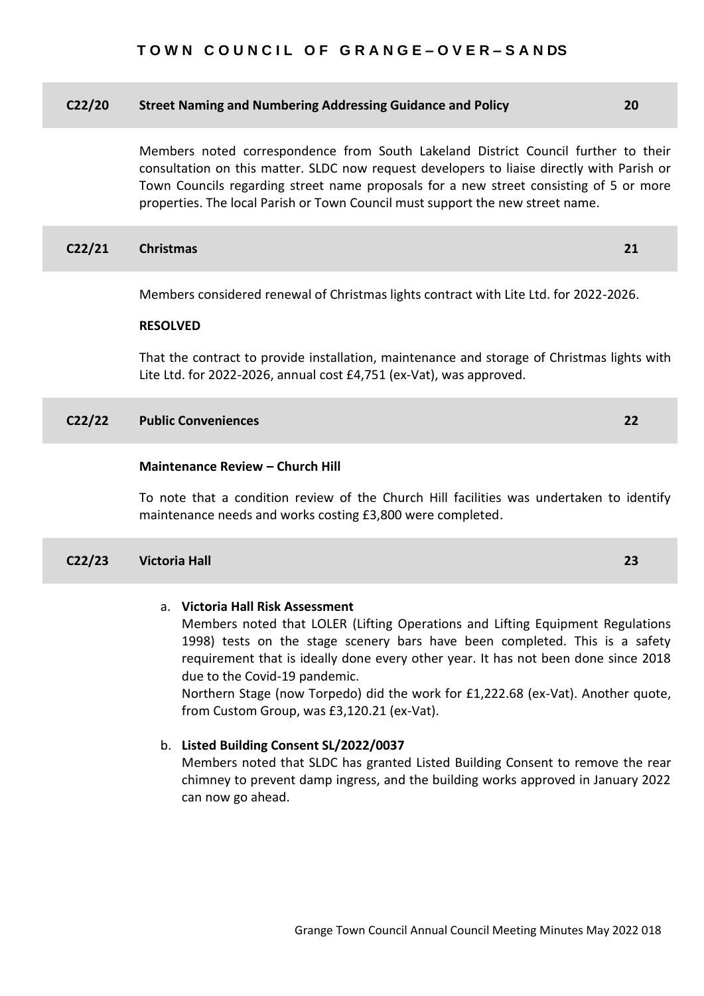#### **C22/20 Street Naming and Numbering Addressing Guidance and Policy 20**

Members noted correspondence from South Lakeland District Council further to their consultation on this matter. SLDC now request developers to liaise directly with Parish or Town Councils regarding street name proposals for a new street consisting of 5 or more properties. The local Parish or Town Council must support the new street name.

#### **C22/21 Christmas 21**

Members considered renewal of Christmas lights contract with Lite Ltd. for 2022-2026.

#### **RESOLVED**

That the contract to provide installation, maintenance and storage of Christmas lights with Lite Ltd. for 2022-2026, annual cost £4,751 (ex-Vat), was approved.

#### **C22/22 Public Conveniences 22**

#### **Maintenance Review – Church Hill**

To note that a condition review of the Church Hill facilities was undertaken to identify maintenance needs and works costing £3,800 were completed.

#### **C22/23 Victoria Hall 23**

#### a. **Victoria Hall Risk Assessment**

Members noted that LOLER (Lifting Operations and Lifting Equipment Regulations 1998) tests on the stage scenery bars have been completed. This is a safety requirement that is ideally done every other year. It has not been done since 2018 due to the Covid-19 pandemic.

Northern Stage (now Torpedo) did the work for £1,222.68 (ex-Vat). Another quote, from Custom Group, was £3,120.21 (ex-Vat).

# b. **Listed Building Consent SL/2022/0037**

Members noted that SLDC has granted Listed Building Consent to remove the rear chimney to prevent damp ingress, and the building works approved in January 2022 can now go ahead.